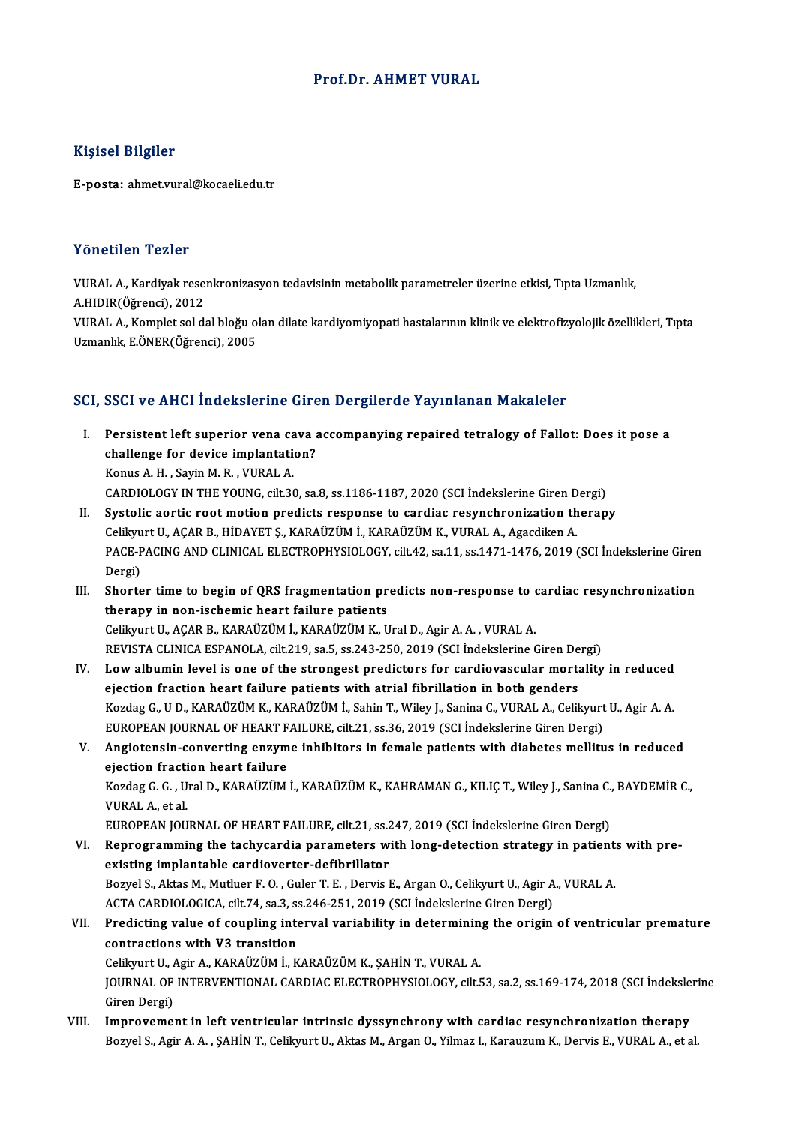#### Prof.Dr. AHMET VURAL

#### Kişisel Bilgiler

E-posta: ahmet.vural@kocaeli.edu.tr

#### Yönetilen Tezler

Yönetilen Tezler<br>VURAL A., Kardiyak resenkronizasyon tedavisinin metabolik parametreler üzerine etkisi, Tıpta Uzmanlık,<br>A HIDIP(Öğrensi), 2012 1 Onoenon 1 Onor<br>VURAL A., Kardiyak rese:<br>A.HIDIR(Öğrenci), 2012<br>VURAL A., Komplet sel di

A.HIDIR(Öğrenci), 2012<br>VURAL A., Komplet sol dal bloğu olan dilate kardiyomiyopati hastalarının klinik ve elektrofizyolojik özellikleri, Tıpta Uzmanlık,E.ÖNER(Öğrenci),2005

# UZMANIK, E.UNEK(Ugrenci), 2005<br>SCI, SSCI ve AHCI İndekslerine Giren Dergilerde Yayınlanan Makaleler

I. SSCI ve AHCI İndekslerine Giren Dergilerde Yayınlanan Makaleler<br>I. Persistent left superior vena cava accompanying repaired tetralogy of Fallot: Does it pose a<br>challange for devise implentation? I. Persistent left superior vena cava accompanying repaired tetralogy of Fallot: Does it pose a challenge for device implantation? KonusA.H. ,SayinM.R. ,VURALA. challenge for device implantation?<br>Konus A. H. , Sayin M. R. , VURAL A.<br>CARDIOLOGY IN THE YOUNG, cilt.30, sa.8, ss.1186-1187, 2020 (SCI İndekslerine Giren Dergi)<br>Systelia eastis neet metian predista respense te sardies res

- II. Systolic aortic root motion predicts response to cardiac resynchronization therapy CARDIOLOGY IN THE YOUNG, cilt.30, sa.8, ss.1186-1187, 2020 (SCI İndekslerine Giren D<br>Systolic aortic root motion predicts response to cardiac resynchronization th<br>Celikyurt U., AÇAR B., HİDAYET Ş., KARAÜZÜM İ., KARAÜZÜM K. PACE-PACING AND CLINICAL ELECTROPHYSIOLOGY, cilt.42, sa.11, ss.1471-1476, 2019 (SCI İndekslerine Giren<br>Dergi) Celikyurt U., AÇAR B., HİDAYET Ş., KARAÜZÜM İ., KARAÜZÜM K., VURAL A., Agacdiken A. PACE-PACING AND CLINICAL ELECTROPHYSIOLOGY, cit.42, sa.11, ss.1471-1476, 2019 (SCI Indekslerine Girer<br>Dergi)<br>III. Shorter time to begin of QRS fragmentation predicts non-response to cardiac resynchronization<br>thereow in non
- Dergi)<br>Shorter time to begin of QRS fragmentation pr<br>therapy in non-ischemic heart failure patients<br>Colilanut U. ACAP P. KAPAÜZÜM U. KAPAÜZÜM K. U Shorter time to begin of QRS fragmentation predicts non-response to differency in non-ischemic heart failure patients<br>Celikyurt U., AÇAR B., KARAÜZÜM İ., KARAÜZÜM K., Ural D., Agir A. A. , VURAL A.<br>REVISTA CLINICA ESPANOLA therapy in non-ischemic heart failure patients<br>Celikyurt U., AÇAR B., KARAÜZÜM İ., KARAÜZÜM K., Ural D., Agir A. A. , VURAL A.<br>REVISTA CLINICA ESPANOLA, cilt.219, sa.5, ss.243-250, 2019 (SCI İndekslerine Giren Dergi)<br>Low a
- Celikyurt U., AÇAR B., KARAÜZÜM İ., KARAÜZÜM K., Ural D., Agir A. A. , VURAL A.<br>REVISTA CLINICA ESPANOLA, cilt.219, sa.5, ss.243-250, 2019 (SCI İndekslerine Giren Dergi)<br>IV. Low albumin level is one of the strongest predic REVISTA CLINICA ESPANOLA, cilt.219, sa.5, ss.243-250, 2019 (SCI İndekslerine Giren De<br>Low albumin level is one of the strongest predictors for cardiovascular mort;<br>ejection fraction heart failure patients with atrial fibri KozdagG.,UD.,KARAÜZÜMK.,KARAÜZÜMİ.,SahinT.,Wiley J.,SaninaC.,VURALA.,CelikyurtU.,AgirA.A. ejection fraction heart failure patients with atrial fibrillation in both genders<br>Kozdag G., U D., KARAÜZÜM K., KARAÜZÜM İ., Sahin T., Wiley J., Sanina C., VURAL A., Celikyurt<br>EUROPEAN JOURNAL OF HEART FAILURE, cilt.21, ss Kozdag G., U D., KARAÜZÜM K., KARAÜZÜM İ., Sahin T., Wiley J., Sanina C., VURAL A., Celikyurt U., Agir A. A.<br>EUROPEAN JOURNAL OF HEART FAILURE, cilt.21, ss.36, 2019 (SCI İndekslerine Giren Dergi)<br>V. Angiotensin-converting
- EUROPEAN JOURNAL OF HEART F<br>Angiotensin-converting enzym<br>ejection fraction heart failure Angiotensin-converting enzyme inhibitors in female patients with diabetes mellitus in reduced<br>ejection fraction heart failure<br>Kozdag G. G. , Ural D., KARAÜZÜM İ., KARAÜZÜM K., KAHRAMAN G., KILIÇ T., Wiley J., Sanina C., BA ejection fraction heart failure<br>Kozdag G. G. , Ural D., KARAÜZÜM İ., KARAÜZÜM K., KAHRAMAN G., KILIÇ T., Wiley J., Sanina C., BAYDEMİR C.,<br>VURAL A., et al. Kozdag G. G. , Ural D., KARAÜZÜM İ., KARAÜZÜM K., KAHRAMAN G., KILIÇ T., Wiley J., Sanina C.,<br>VURAL A., et al.<br>EUROPEAN JOURNAL OF HEART FAILURE, cilt.21, ss.247, 2019 (SCI İndekslerine Giren Dergi)<br>Bannasınammine the tech

- VI. Reprogramming the tachycardia parameters with long-detection strategy in patients with pre-EUROPEAN JOURNAL OF HEART FAILURE, cilt.21, ss.2<br>Reprogramming the tachycardia parameters w:<br>existing implantable cardioverter-defibrillator<br>Powel S. Altas M. Mutluer E.O., Guler T. F., Dervis L Reprogramming the tachycardia parameters with long-detection strategy in patient:<br>existing implantable cardioverter-defibrillator<br>Bozyel S., Aktas M., Mutluer F. O. , Guler T. E. , Dervis E., Argan O., Celikyurt U., Agir A existing implantable cardioverter-defibrillator<br>Bozyel S., Aktas M., Mutluer F. O. , Guler T. E. , Dervis E., Argan O., Celikyurt U., Agir A<br>ACTA CARDIOLOGICA, cilt.74, sa.3, ss.246-251, 2019 (SCI İndekslerine Giren Dergi)
- Bozyel S., Aktas M., Mutluer F. O. , Guler T. E. , Dervis E., Argan O., Celikyurt U., Agir A., VURAL A.<br>ACTA CARDIOLOGICA, cilt.74, sa.3, ss.246-251, 2019 (SCI İndekslerine Giren Dergi)<br>VII. Predicting value of coupling in ACTA CARDIOLOGICA, cilt.74, sa.3, ss.246-251, 2019 (SCI Indekslerine Giren Dergi)<br>Predicting value of coupling interval variability in determining the origin<br>contractions with V3 transition Predicting value of coupling interval variability in determinin<br>contractions with V3 transition<br>Celikyurt U., Agir A., KARAÜZÜM İ., KARAÜZÜM K., ŞAHİN T., VURAL A.<br>JOURNAL OF INTERVENTIONAL CARDIAC ELECTROPHYSIOLOCY cilt E Celikyurt U., Agir A., KARAÜZÜM İ., KARAÜZÜM K., ŞAHİN T., VURAL A.

JOURNAL OF INTERVENTIONAL CARDIAC ELECTROPHYSIOLOGY, cilt.53, sa.2, ss.169-174, 2018 (SCI İndekslerine<br>Giren Dergi) JOURNAL OF INTERVENTIONAL CARDIAC ELECTROPHYSIOLOGY, cilt.53, sa.2, ss.169-174, 2018 (SCI Indeksle<br>Giren Dergi)<br>VIII. Improvement in left ventricular intrinsic dyssynchrony with cardiac resynchronization therapy<br>Pervel S.

Giren Dergi)<br>Improvement in left ventricular intrinsic dyssynchrony with cardiac resynchronization therapy<br>Bozyel S., Agir A. A. , ŞAHİN T., Celikyurt U., Aktas M., Argan O., Yilmaz I., Karauzum K., Dervis E., VURAL A., et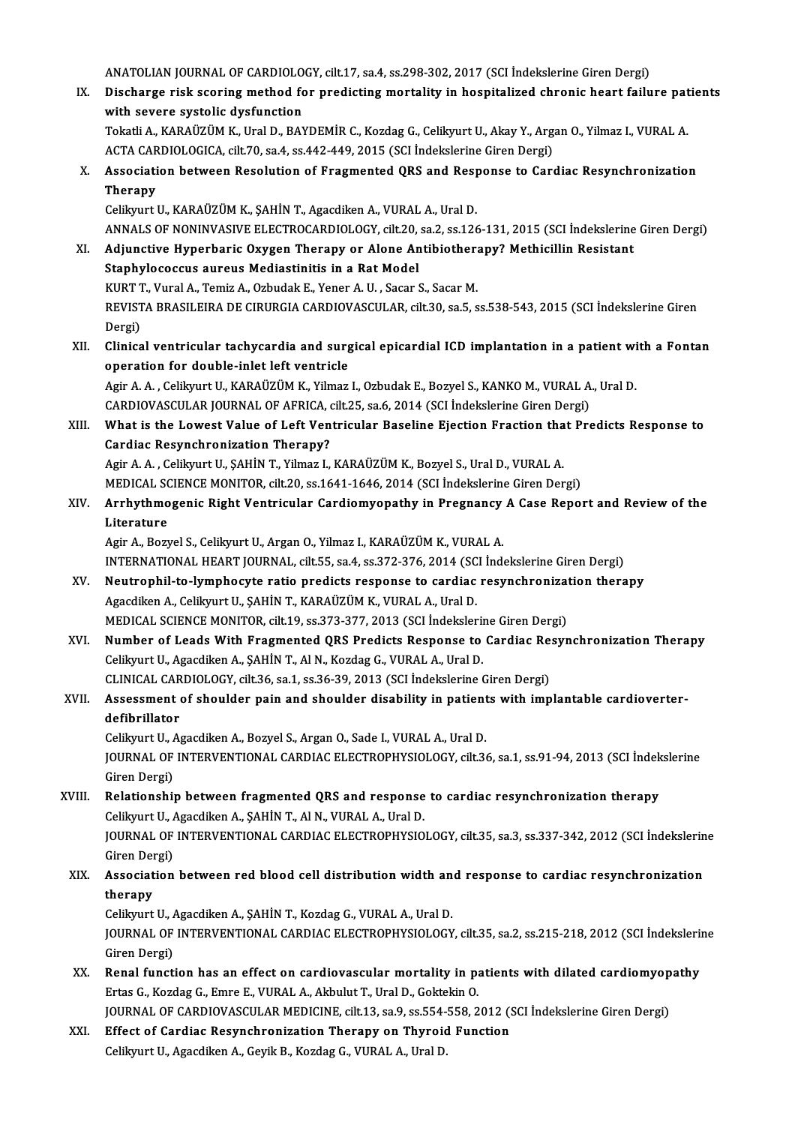ANATOLIAN JOURNAL OF CARDIOLOGY, cilt.17, sa.4, ss.298-302, 2017 (SCI İndekslerine Giren Dergi)<br>Disebenze risk ssering method for predisting mertelity in bespitelined shrepis beart feily IX. Discharge risk scoring method for predicting mortality in hospitalized chronic heart failure patients with severe systolic dysfunction ANATOLIAN JOURNAL OF CARDIOLO<br>Discharge risk scoring method for<br>with severe systolic dysfunction<br>Teketi A. KARAÜZÜM K. Ural D. BAN Discharge risk scoring method for predicting mortality in hospitalized chronic heart failure pat<br>with severe systolic dysfunction<br>Tokatli A., KARAÜZÜM K., Ural D., BAYDEMİR C., Kozdag G., Celikyurt U., Akay Y., Argan O., Y with severe systolic dysfunction<br>Tokatli A., KARAÜZÜM K., Ural D., BAYDEMİR C., Kozdag G., Celikyurt U., Akay Y., Arg.<br>ACTA CARDIOLOGICA, cilt.70, sa.4, ss.442-449, 2015 (SCI İndekslerine Giren Dergi)<br>Association between B X. Association between Resolution of Fragmented QRS and Response to Cardiac Resynchronization ACTA CARDIOLOGICA, cilt.70, sa.4, ss.442-449, 2015 (SCI İndekslerine Giren Dergi) Celikyurt U., KARAÜZÜM K., ŞAHİN T., Agacdiken A., VURAL A., Ural D. ANNALS OF NONINVASIVE ELECTROCARDIOLOGY, cilt.20, sa.2, ss.126-131, 2015 (SCI İndekslerine Giren Dergi) Celikyurt U., KARAÜZÜM K., ŞAHİN T., Agacdiken A., VURAL A., Ural D.<br>ANNALS OF NONINVASIVE ELECTROCARDIOLOGY, cilt.20, sa.2, ss.126-131, 2015 (SCI İndekslerine<br>XI. Adjunctive Hyperbaric Oxygen Therapy or Alone Antibiothera ANNALS OF NONINVASIVE ELECTROCARDIOLOGY, cilt.20,<br>Adjunctive Hyperbaric Oxygen Therapy or Alone An<br>Staphylococcus aureus Mediastinitis in a Rat Model<br>KUPT T. Vural A. Tomiz A. Osbudak E. Yoner A. U. Secar i Adjunctive Hyperbaric Oxygen Therapy or Alone Antibiother:<br>Staphylococcus aureus Mediastinitis in a Rat Model<br>KURT T., Vural A., Temiz A., Ozbudak E., Yener A. U. , Sacar S., Sacar M.<br>PEVISTA PRASU EIRA DE CIPURCIA CARDIOV Staphylococcus aureus Mediastinitis in a Rat Model<br>KURT T., Vural A., Temiz A., Ozbudak E., Yener A. U. , Sacar S., Sacar M.<br>REVISTA BRASILEIRA DE CIRURGIA CARDIOVASCULAR, cilt.30, sa.5, ss.538-543, 2015 (SCI İndekslerine KURT <mark>1</mark><br>REVIST<br>Dergi)<br>Clinica REVISTA BRASILEIRA DE CIRURGIA CARDIOVASCULAR, cilt.30, sa.5, ss.538-543, 2015 (SCI İndekslerine Giren<br>Dergi)<br>XII. Clinical ventricular tachycardia and surgical epicardial ICD implantation in a patient with a Fontan<br>Anapat Dergi)<br>Clinical ventricular tachycardia and surg<br>operation for double-inlet left ventricle<br>Agir A.A., Colibrunt U. KARAÜZÜM K. Vilmar Clinical ventricular tachycardia and surgical epicardial ICD implantation in a patient wi<br>operation for double-inlet left ventricle<br>Agir A. A. , Celikyurt U., KARAÜZÜM K., Yilmaz I., Ozbudak E., Bozyel S., KANKO M., VURAL operation for double-inlet left ventricle<br>Agir A. A. , Celikyurt U., KARAÜZÜM K., Yilmaz I., Ozbudak E., Bozyel S., KANKO M., VURAL A., Ural D.<br>CARDIOVASCULAR JOURNAL OF AFRICA, cilt.25, sa.6, 2014 (SCI İndekslerine Giren Agir A. A. , Celikyurt U., KARAÜZÜM K., Yilmaz I., Ozbudak E., Bozyel S., KANKO M., VURAL A., Ural D.<br>CARDIOVASCULAR JOURNAL OF AFRICA, cilt.25, sa.6, 2014 (SCI İndekslerine Giren Dergi)<br>XIII. What is the Lowest Value CARDIOVASCULAR JOURNAL OF AFRICA, on<br>What is the Lowest Value of Left Ven<br>Cardiac Resynchronization Therapy? What is the Lowest Value of Left Ventricular Baseline Ejection Fraction tha<br>Cardiac Resynchronization Therapy?<br>Agir A. A. , Celikyurt U., ŞAHİN T., Yilmaz I., KARAÜZÜM K., Bozyel S., Ural D., VURAL A.<br>MEDICAL SCIENCE MONIT Cardiac Resynchronization Therapy?<br>Agir A. A. , Celikyurt U., ŞAHİN T., Yilmaz I., KARAÜZÜM K., Bozyel S., Ural D., VURAL A.<br>MEDICAL SCIENCE MONITOR, cilt.20, ss.1641-1646, 2014 (SCI İndekslerine Giren Dergi) Agir A. A. , Celikyurt U., ŞAHİN T., Yilmaz I., KARAÜZÜM K., Bozyel S., Ural D., VURAL A.<br>MEDICAL SCIENCE MONITOR, cilt.20, ss.1641-1646, 2014 (SCI İndekslerine Giren Dergi)<br>XIV. Arrhythmogenic Right Ventricular Cardio MEDICAL SON<br>Arrhythmo<br>Literature Arrhythmogenic Right Ventricular Cardiomyopathy in Pregnancy<br>Literature<br>Agir A., Bozyel S., Celikyurt U., Argan O., Yilmaz I., KARAÜZÜM K., VURAL A.<br>INTERNATIONAL HEART JOURNAL sit 55, sa 4, ss 272, 276, 2014 (SCLInd: Literature<br>Agir A., Bozyel S., Celikyurt U., Argan O., Yilmaz I., KARAÜZÜM K., VURAL A.<br>INTERNATIONAL HEART JOURNAL, cilt.55, sa.4, ss.372-376, 2014 (SCI İndekslerine Giren Dergi)<br>Neutranbil te lumnhagyte ratio predists re Agir A., Bozyel S., Celikyurt U., Argan O., Yilmaz I., KARAÜZÜM K., VURAL A.<br>INTERNATIONAL HEART JOURNAL, cilt.55, sa.4, ss.372-376, 2014 (SCI İndekslerine Giren Dergi)<br>XV. Neutrophil-to-lymphocyte ratio predicts response INTERNATIONAL HEART JOURNAL, cilt.55, sa.4, ss.372-376, 2014 (SC)<br>Neutrophil-to-lymphocyte ratio predicts response to cardiac<br>Agacdiken A., Celikyurt U., ŞAHİN T., KARAÜZÜM K., VURAL A., Ural D.<br>MEDICAL SCIENCE MONITOR sil Neutrophil-to-lymphocyte ratio predicts response to cardiac resynchronizat<br>Agacdiken A., Celikyurt U., ŞAHİN T., KARAÜZÜM K., VURAL A., Ural D.<br>MEDICAL SCIENCE MONITOR, cilt.19, ss.373-377, 2013 (SCI İndekslerine Giren Der Agacdiken A., Celikyurt U., ŞAHİN T., KARAÜZÜM K., VURAL A., Ural D.<br>MEDICAL SCIENCE MONITOR, cilt.19, ss.373-377, 2013 (SCI İndekslerine Giren Dergi)<br>XVI. Number of Leads With Fragmented QRS Predicts Response to Cardiac R MEDICAL SCIENCE MONITOR, cilt.19, ss.373-377, 2013 (SCI İndekslerin<br>Number of Leads With Fragmented QRS Predicts Response to<br>Celikyurt U., Agacdiken A., ŞAHİNT., Al N., Kozdag G., VURAL A., Ural D.<br>CLINICAL CARDIQLOCY silt Number of Leads With Fragmented QRS Predicts Response to Cardiac Reflexivent U., Agacdiken A., ŞAHİN T., Al N., Kozdag G., VURAL A., Ural D.<br>CLINICAL CARDIOLOGY, cilt.36, sa.1, ss.36-39, 2013 (SCI İndekslerine Giren Dergi) Celikyurt U., Agacdiken A., ŞAHİN T., Al N., Kozdag G., VURAL A., Ural D.<br>CLINICAL CARDIOLOGY, cilt.36, sa.1, ss.36-39, 2013 (SCI İndekslerine Giren Dergi)<br>XVII. Assessment of shoulder pain and shoulder disability in patie CLINICAL CAR<br>Assessment<br>defibrillator<br>Colibrunt II A Assessment of shoulder pain and shoulder disability in patient<br>defibrillator<br>Celikyurt U., Agacdiken A., Bozyel S., Argan O., Sade I., VURAL A., Ural D.<br>JOURNAL OF INTERVENTIONAL GARDIAG ELECTROPHYSIOLOGY, sit 34 defibrillator<br>Celikyurt U., Agacdiken A., Bozyel S., Argan O., Sade I., VURAL A., Ural D.<br>JOURNAL OF INTERVENTIONAL CARDIAC ELECTROPHYSIOLOGY, cilt.36, sa.1, ss.91-94, 2013 (SCI İndekslerine<br>Giren Dergi) Celikyurt U., Agacdiken A., Bozyel S., Argan O., Sade I., VURAL A., Ural D. JOURNAL OF INTERVENTIONAL CARDIAC ELECTROPHYSIOLOGY, cilt.36, sa.1, ss.91-94, 2013 (SCI İndek<br>Giren Dergi)<br>XVIII. Relationship between fragmented QRS and response to cardiac resynchronization therapy<br>Colibrati II. Agadikan Giren Dergi)<br>Relationship between fragmented QRS and response<br>Celikyurt U., Agacdiken A., ŞAHİN T., Al N., VURAL A., Ural D.<br>JOURNAL OF INTERVENTIONAL CARDLAC ELECTRORHYSIO JOURNAL OF INTERVENTIONAL CARDIAC ELECTROPHYSIOLOGY, cilt.35, sa.3, ss.337-342, 2012 (SCI İndekslerine<br>Giren Dergi) Celikyurt U., Agacdiken A., ŞAHİN T., Al N., VURAL A., Ural D. JOURNAL OF INTERVENTIONAL CARDIAC ELECTROPHYSIOLOGY, cilt.35, sa.3, ss.337-342, 2012 (SCI İndekslerin<br>Giren Dergi)<br>XIX. Association between red blood cell distribution width and response to cardiac resynchronization<br>theren Giren Der<br>Associat<br>therapy<br><sup>Colilaurt</sup> Association between red blood cell distribution width an<br>therapy<br>Celikyurt U., Agacdiken A., ŞAHİN T., Kozdag G., VURAL A., Ural D.<br>JOURNAL OF INTERVENTIONAL CARDIAC ELECTROPHYSIOLOCY therapy<br>Celikyurt U., Agacdiken A., ŞAHİN T., Kozdag G., VURAL A., Ural D.<br>JOURNAL OF INTERVENTIONAL CARDIAC ELECTROPHYSIOLOGY, cilt.35, sa.2, ss.215-218, 2012 (SCI İndekslerine Celikyurt U., *i*<br>JOURNAL OF<br>Giren Dergi)<br>Penal fungti JOURNAL OF INTERVENTIONAL CARDIAC ELECTROPHYSIOLOGY, cilt.35, sa.2, ss.215-218, 2012 (SCI İndekslerii<br>Giren Dergi)<br>XX. Renal function has an effect on cardiovascular mortality in patients with dilated cardiomyopathy<br>Fites Giren Dergi)<br>Renal function has an effect on cardiovascular mortality in patients with dilated cardiomyop<br>Ertas G., Kozdag G., Emre E., VURAL A., Akbulut T., Ural D., Goktekin O.<br>JOURNAL OF CARDIOVASCULAR MEDICINE, cilt.13 Renal function has an effect on cardiovascular mortality in patients with dilated cardiomyop<br>Ertas G., Kozdag G., Emre E., VURAL A., Akbulut T., Ural D., Goktekin O.<br>JOURNAL OF CARDIOVASCULAR MEDICINE, cilt.13, sa.9, ss.55 XXI. Effect of Cardiac Resynchronization Therapy on Thyroid Function Celikyurt U., Agacdiken A., Geyik B., Kozdag G., VURAL A., Ural D.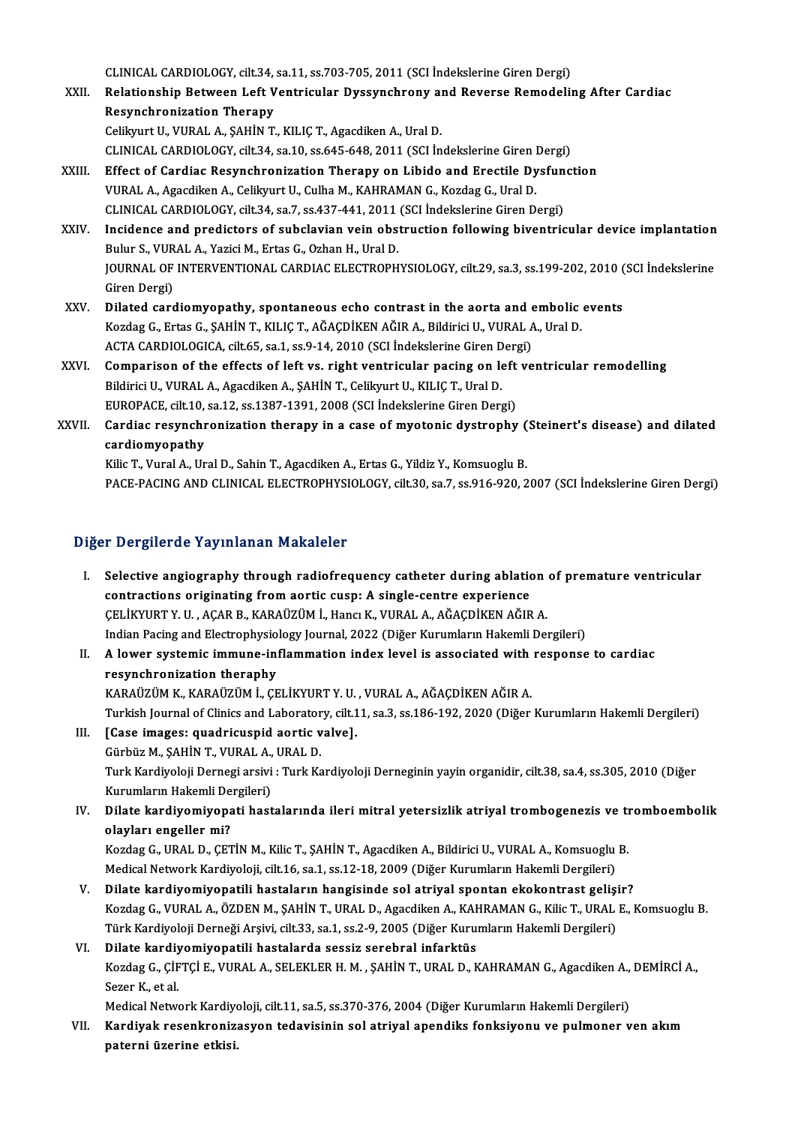CLINICAL CARDIOLOGY, cilt.34, sa.11, ss.703-705, 2011 (SCI İndekslerine Giren Dergi)<br>Pelationabin Betusen Left Ventricular Dussynshrony and Beyerse Bernadelij

- XXII. Relationship Between Left Ventricular Dyssynchrony and Reverse Remodeling After Cardiac<br>Resynchronization Therapy CLINICAL CARDIOLOGY, cilt.34,<br>Relationship Between Left V<br>Resynchronization Therapy Celikyurt U., VURAL A., ŞAHİN T., KILIÇ T., Agacdiken A., Ural D. Resynchronization Therapy<br>Celikyurt U., VURAL A., ŞAHİN T., KILIÇ T., Agacdiken A., Ural D.<br>CLINICAL CARDIOLOGY, cilt.34, sa.10, ss.645-648, 2011 (SCI İndekslerine Giren Dergi)<br>Effect of Cardiac Besynchronization Therapy o Celikyurt U., VURAL A., ŞAHİN T., KILIÇ T., Agacdiken A., Ural D.<br>CLINICAL CARDIOLOGY, cilt.34, sa.10, ss.645-648, 2011 (SCI İndekslerine Giren Dergi)<br>XXIII. Effect of Cardiac Resynchronization Therapy on Libido and Erecti
- CLINICAL CARDIOLOGY, cilt.34, sa.10, ss.645-648, 2011 (SCI İndekslerine Giren 1<br>Effect of Cardiac Resynchronization Therapy on Libido and Erectile Dy<br>VURAL A., Agacdiken A., Celikyurt U., Culha M., KAHRAMAN G., Kozdag G., Effect of Cardiac Resynchronization Therapy on Libido and Erectile Dysfun<br>VURAL A., Agacdiken A., Celikyurt U., Culha M., KAHRAMAN G., Kozdag G., Ural D.<br>CLINICAL CARDIOLOGY, cilt.34, sa.7, ss.437-441, 2011 (SCI İndeksleri VURAL A., Agacdiken A., Celikyurt U., Culha M., KAHRAMAN G., Kozdag G., Ural D.<br>CLINICAL CARDIOLOGY, cilt.34, sa.7, ss.437-441, 2011 (SCI İndekslerine Giren Dergi)<br>XXIV. Incidence and predictors of subclavian vein obstruct

CLINICAL CARDIOLOGY, cilt.34, sa.7, ss.437-441, 2011<br>Incidence and predictors of subclavian vein obs<br>Bulur S., VURAL A., Yazici M., Ertas G., Ozhan H., Ural D.<br>JOUPNAL OF INTERVENTIONAL CARDIAC ELECTROPH JOURNAL OF INTERVENTIONAL CARDIAC ELECTROPHYSIOLOGY, cilt.29, sa.3, ss.199-202, 2010 (SCI İndekslerine<br>Giren Dergi) Bulur S., VUR<br>JOURNAL OF<br>Giren Dergi)<br>Dilated card

- XXV. Dilated cardiomyopathy, spontaneous echo contrast in the aorta and embolic events Giren Dergi)<br>Dilated cardiomyopathy, spontaneous echo contrast in the aorta and embolic<br>Kozdag G., Ertas G., ŞAHİN T., KILIÇ T., AĞAÇDİKEN AĞIR A., Bildirici U., VURAL A., Ural D.<br>ACTA CARDIQLOCICA. silt 65, se 1, se 9, 14 Dilated cardiomyopathy, spontaneous echo contrast in the aorta and exercises of the SACTACARDIOLOGICA, cilt.65, sa.1, ss.9-14, 2010 (SCI İndekslerine Giren Dergi)<br>ACTA CARDIOLOGICA, cilt.65, sa.1, ss.9-14, 2010 (SCI İndeks Kozdag G., Ertas G., ŞAHİN T., KILIÇ T., AĞAÇDİKEN AĞIR A., Bildirici U., VURAL A., Ural D.<br>ACTA CARDIOLOGICA, cilt.65, sa.1, ss.9-14, 2010 (SCI İndekslerine Giren Dergi)<br>XXVI. Comparison of the effects of left vs. right v
- ACTA CARDIOLOGICA, cilt.65, sa.1, ss.9-14, 2010 (SCI İndekslerine Giren Dergi)<br>Comparison of the effects of left vs. right ventricular pacing on left ve<br>Bildirici U., VURAL A., Agacdiken A., ŞAHİN T., Celikyurt U., KILIÇ T Comparison of the effects of left vs. right ventricular pacing on left<br>Bildirici U., VURAL A., Agacdiken A., ȘAHİN T., Celikyurt U., KILIÇ T., Ural D.<br>EUROPACE, cilt.10, sa.12, ss.1387-1391, 2008 (SCI İndekslerine Giren De Bildirici U., VURAL A., Agacdiken A., ȘAHİN T., Celikyurt U., KILIÇ T., Ural D.<br>EUROPACE, cilt.10, sa.12, ss.1387-1391, 2008 (SCI İndekslerine Giren Dergi)<br>XXVII. Cardiac resynchronization therapy in a case of myotonic dys
- EUROPACE, cilt.10,<br>Cardiac resynch<br>cardiomyopathy<br><sup>Kilig</sup> T. Vural A. Un Cardiac resynchronization therapy in a case of myotonic dystrophy (<br>cardiomyopathy<br>Kilic T., Vural A., Ural D., Sahin T., Agacdiken A., Ertas G., Yildiz Y., Komsuoglu B.<br>BACE BACING AND GLINICAL ELECTROPHYSIOLOGY, silt 30,

cardiomyopathy<br>Kilic T., Vural A., Ural D., Sahin T., Agacdiken A., Ertas G., Yildiz Y., Komsuoglu B.<br>PACE-PACING AND CLINICAL ELECTROPHYSIOLOGY, cilt.30, sa.7, ss.916-920, 2007 (SCI İndekslerine Giren Dergi)

### Diğer Dergilerde Yayınlanan Makaleler

- Iger Dergilerde Yayınlanan Makaleler<br>I. Selective angiography through radiofrequency catheter during ablation of premature ventricular<br>contractions originating from aortic quan: A single sentre experience contractive angiography through radiofrequency catheter during ablation<br>contractions originating from aortic cusp: A single-centre experience<br>CELIKVURT V.U. ACAR R. KARAÜZÜM İ. HORG K. VURAL A AČACDİKEN AČIR Selective angiography through radiofrequency catheter during ablation<br>contractions originating from aortic cusp: A single-centre experience<br>CELİKYURT Y. U. , AÇAR B., KARAÜZÜM İ., Hancı K., VURAL A., AĞAÇDİKEN AĞIR A.<br>Indi contractions originating from aortic cusp: A single-centre experience<br>CELİKYURT Y. U. , AÇAR B., KARAÜZÜM İ., Hancı K., VURAL A., AĞAÇDİKEN AĞIR A.<br>Indian Pacing and Electrophysiology Journal, 2022 (Diğer Kurumların Hakeml CELİKYURT Y. U. , AÇAR B., KARAÜZÜM İ., Hancı K., VURAL A., AĞAÇDİKEN AĞIR A.<br>Indian Pacing and Electrophysiology Journal, 2022 (Diğer Kurumların Hakemli Dergileri)<br>II. A lower systemic immune-inflammation index level i
- Indian Pacing and Electrophysion<br>A lower systemic immune-inf<br>resynchronization theraphy<br>KARAÜZÜM K. KARAÜZÜM İ. CE KARAÜZÜM K., KARAÜZÜM İ., ÇELİKYURTY. U., VURAL A., AĞAÇDİKEN AĞIR A. Turkish Journal of Clinics and Laboratory, cilt.11, sa.3, ss.186-192, 2020 (Diğer Kurumların Hakemli Dergileri) KARAÜZÜM K., KARAÜZÜM İ., ÇELİKYURT Y. U.<br>Turkish Journal of Clinics and Laboratory, cilt.1<br>III. [Case images: quadricuspid aortic valve].<br>Cürküz M. SAHİN T. VURAL A. URAL D.
- Turkish Journal of Clinics and Laborator<br>[Case images: quadricuspid aortic v<br>Gürbüz M., ŞAHİN T., VURAL A., URAL D.<br>Turk Kardiveleji Dernegi arşiyi : Turk Ke Turk Kardiyoloji Dernegi arsivi : Turk Kardiyoloji Derneginin yayin organidir, cilt.38, sa.4, ss.305, 2010 (Diğer<br>Kurumların Hakemli Dergileri) Gürbüz M., ŞAHİN T., VURAL A., URAL D. Turk Kardiyoloji Dernegi arsivi : Turk Kardiyoloji Derneginin yayin organidir, cilt.38, sa.4, ss.305, 2010 (Diğer<br>Kurumların Hakemli Dergileri)<br>IV. Dilate kardiyomiyopati hastalarında ileri mitral yetersizlik atriyal t
- Kurumların Hakemli De<br>Dilate kardiyomiyopa<br>olayları engeller mi?<br>Kordag C. UBAL D. CET Dilate kardiyomiyopati hastalarında ileri mitral yetersizlik atriyal trombogenezis ve tı<br>olayları engeller mi?<br>Kozdag G., URAL D., ÇETİN M., Kilic T., ŞAHİN T., Agacdiken A., Bildirici U., VURAL A., Komsuoglu B.<br>Madisəl Na

ol<mark>ayları engeller mi?</mark><br>Kozdag G., URAL D., ÇETİN M., Kilic T., ŞAHİN T., Agacdiken A., Bildirici U., VURAL A., Komsuoglu B.<br>Medical Network Kardiyoloji, cilt.16, sa.1, ss.12-18, 2009 (Diğer Kurumların Hakemli Dergileri)

- V. Dilate kardiyomiyopatili hastaların hangisinde sol atriyal spontan ekokontrast gelişir? Medical Network Kardiyoloji, cilt.16, sa.1, ss.12-18, 2009 (Diğer Kurumların Hakemli Dergileri)<br>Dilate <mark>kardiyomiyopatili hastaların hangisinde sol atriyal spontan ekokontrast gelişir?</mark><br>Kozdag G., VURAL A., ÖZDEN M., ŞAHİN Dilate kardiyomiyopatili hastaların hangisinde sol atriyal spontan ekokontrast gelişi<br>Kozdag G., VURAL A., ÖZDEN M., ŞAHİN T., URAL D., Agacdiken A., KAHRAMAN G., Kilic T., URAL<br>Türk Kardiyoloji Derneği Arşivi, cilt.33, sa Kozdag G., VURAL A., ÖZDEN M., ŞAHİN T., URAL D., Agacdiken A., KAH<br>Türk Kardiyoloji Derneği Arşivi, cilt.33, sa.1, ss.2-9, 2005 (Diğer Kuru:<br>VI. Dilate kardiyomiyopatili hastalarda sessiz serebral infarktüs<br>Kordag G. GİFT
- Türk Kardiyoloji Derneği Arşivi, cilt.33, sa.1, ss.2-9, 2005 (Diğer Kurumların Hakemli Dergileri)<br>Dilate <mark>kardiyomiyopatili hastalarda sessiz serebral infarktüs</mark><br>Kozdag G., ÇİFTÇİ E., VURAL A., SELEKLER H. M. , ŞAHİN T., U Di<mark>late kardiy</mark><br>Kozdag G., ÇİF<br>Sezer K., et al.<br>Medisal Natur Kozdag G., ÇİFTÇİ E., VURAL A., SELEKLER H. M. , ŞAHİN T., URAL D., KAHRAMAN G., Agacdiken A.,<br>Sezer K., et al.<br>Medical Network Kardiyoloji, cilt.11, sa.5, ss.370-376, 2004 (Diğer Kurumların Hakemli Dergileri)<br>Kardiyalı re

Sezer K., et al.<br>Medical Network Kardiyoloji, cilt.11, sa.5, ss.370-376, 2004 (Diğer Kurumların Hakemli Dergileri)<br>VII. Kardiyak resenkronizasyon tedavisinin sol atriyal apendiks fonksiyonu ve pulmoner ven akım<br>paterni üze Medical Network Kardiyo<br><mark>Kardiyak resenkroniz</mark>:<br>paterni üzerine etkisi.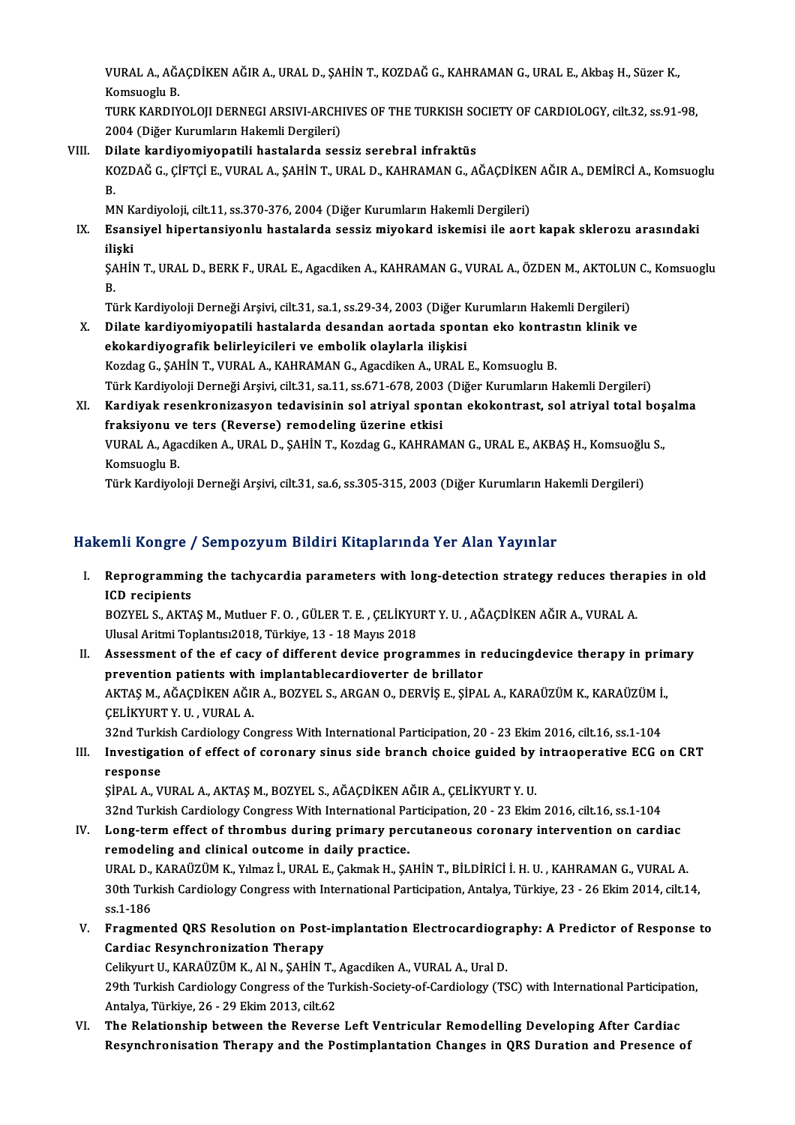VURAL A., AĞAÇDİKEN AĞIR A., URAL D., ŞAHİN T., KOZDAĞ G., KAHRAMAN G., URAL E., Akbaş H., Süzer K.,<br>Komsusalı P VURAL A., AĞ*l*<br>Komsuoglu B.<br>TUR*V V*ARDIV VURAL A., AĞAÇDİKEN AĞIR A., URAL D., ŞAHİN T., KOZDAĞ G., KAHRAMAN G., URAL E., Akbaş H., Süzer K.,<br>Komsuoglu B.<br>TURK KARDIYOLOJI DERNEGI ARSIVI-ARCHIVES OF THE TURKISH SOCIETY OF CARDIOLOGY, cilt.32, ss.91-98,<br>2004 (Diže

Komsuoglu B.<br>TURK KARDIYOLOJI DERNEGI ARSIVI-ARCHIVES OF THE TURKISH SOCIETY OF CARDIOLOGY, cilt.32, ss.91-98,<br>2004 (Diğer Kurumların Hakemli Dergileri)

### VIII. Dilate kardiyomiyopatili hastalarda sessiz serebral infraktüs 2004 (Diğer Kurumların Hakemli Dergileri)<br>Dilate kardiyomiyopatili hastalarda sessiz serebral infraktüs<br>KOZDAĞ G., ÇİFTÇİ E., VURAL A., ŞAHİN T., URAL D., KAHRAMAN G., AĞAÇDİKEN AĞIR A., DEMİRCİ A., Komsuoglu<br>P Di<br>K<br>B.<br>M KOZDAĞ G., ÇİFTÇİ E., VURAL A., ŞAHİN T., URAL D., KAHRAMAN G., AĞAÇDİKEN<br>B.<br>MN Kardiyoloji, cilt.11, ss.370-376, 2004 (Diğer Kurumların Hakemli Dergileri)<br>Feansiyal binartansiyanlu baştalarda sessir miyakard iskemisi ile

MN Kardiyoloji, cilt.11, ss.370-376, 2004 (Diğer Kurumların Hakemli Dergileri)

B.<br>MN Kardiyoloji, cilt.11, ss.370-376, 2004 (Diğer Kurumların Hakemli Dergileri)<br>IX. Esansiyel hipertansiyonlu hastalarda sessiz miyokard iskemisi ile aort kapak sklerozu arasındaki<br>iliski Esansiyel hipertansiyonlu hastalarda sessiz miyokard iskemisi ile aort kapak sklerozu arasındaki<br>ilişki<br>ŞAHİN T., URAL D., BERK F., URAL E., Agacdiken A., KAHRAMAN G., VURAL A., ÖZDEN M., AKTOLUN C., Komsuoglu<br>P

ili<br>ŞA<br>Tü ŞAHİN T., URAL D., BERK F., URAL E., Agacdiken A., KAHRAMAN G., VURAL A., ÖZDEN M., AKTOLUN<br>B.<br>Türk Kardiyoloji Derneği Arşivi, cilt.31, sa.1, ss.29-34, 2003 (Diğer Kurumların Hakemli Dergileri)<br>Dilate kardiyomiyanatili ha

- B.<br>Türk Kardiyoloji Derneği Arşivi, cilt.31, sa.1, ss.29-34, 2003 (Diğer Kurumların Hakemli Dergileri)<br>X. Dilate kardiyomiyopatili hastalarda desandan aortada spontan eko kontrastın klinik ve<br>Akelandiyografik halinleyi Türk Kardiyoloji Derneği Arşivi, cilt.31, sa.1, ss.29-34, 2003 (Diğer k<br>Dilate kardiyomiyopatili hastalarda desandan aortada spon<br>ekokardiyografik belirleyicileri ve embolik olaylarla ilişkisi<br>Kardas G. SAHİN T. VURAL A. K Dilate kardiyomiyopatili hastalarda desandan aortada spontan eko kontra<br>ekokardiyografik belirleyicileri ve embolik olaylarla ilişkisi<br>Kozdag G., ŞAHİN T., VURAL A., KAHRAMAN G., Agacdiken A., URAL E., Komsuoglu B.<br>Türk Ko <mark>ekokardiyografik belirleyicileri ve embolik olaylarla ilişkisi</mark><br>Kozdag G., ŞAHİN T., VURAL A., KAHRAMAN G., Agacdiken A., URAL E., Komsuoglu B.<br>Türk Kardiyoloji Derneği Arşivi, cilt.31, sa.11, ss.671-678, 2003 (Diğer Kuru Kozdag G., ŞAHİN T., VURAL A., KAHRAMAN G., Agacdiken A., URAL E., Komsuoglu B.<br>Türk Kardiyoloji Derneği Arşivi, cilt.31, sa.11, ss.671-678, 2003 (Diğer Kurumların Hakemli Dergileri)<br>XI. Kardiyak resenkronizasyon tedav
- Türk Kardiyoloji Derneği Arşivi, cilt.31, sa.11, ss.671-678, 2003<br>Kardiyak resenkronizasyon tedavisinin sol atriyal spon<br>fraksiyonu ve ters (Reverse) remodeling üzerine etkisi<br>WIRAL A Assedikan A HRALD, SAHİN T. Kardas C. Kardiyak resenkronizasyon tedavisinin sol atriyal spontan ekokontrast, sol atriyal total boş<br>fraksiyonu ve ters (Reverse) remodeling üzerine etkisi<br>VURAL A., Agacdiken A., URAL D., ŞAHİN T., Kozdag G., KAHRAMAN G., URAL E. f<mark>raksiyonu v</mark><br>VURAL A., Aga<br>Komsuoglu B.<br><sup>Türk Kordivol</sup> VURAL A., Agacdiken A., URAL D., ŞAHİN T., Kozdag G., KAHRAMAN G., URAL E., AKBAŞ H., Komsuoğlı<br>Komsuoglu B.<br>Türk Kardiyoloji Derneği Arşivi, cilt.31, sa.6, ss.305-315, 2003 (Diğer Kurumların Hakemli Dergileri)

## Türk Kardiyoloji Derneği Arşivi, cilt.31, sa.6, ss.305-315, 2003 (Diğer Kurumların Hakemli Dergileri)<br>Hakemli Kongre / Sempozyum Bildiri Kitaplarında Yer Alan Yayınlar

akemli Kongre / Sempozyum Bildiri Kitaplarında Yer Alan Yayınlar<br>I. Reprogramming the tachycardia parameters with long-detection strategy reduces therapies in old<br>ICD regipients SINT RONGLO)<br>Reprogrammin<br>ICD recipients<br>POZVEL S AKTA Reprogramming the tachycardia parameters with long-detection strategy reduces thera<br>ICD recipients<br>BOZYEL S., AKTAŞ M., Mutluer F. O. , GÜLER T. E. , ÇELİKYURT Y. U. , AĞAÇDİKEN AĞIR A., VURAL A.<br>Ulucel Aritmi Tenlanter201

ICD recipients<br>BOZYEL S., AKTAŞ M., Mutluer F. O. , GÜLER T. E. , ÇELİKYURT Y. U. , AĞAÇDİKEN AĞIR A., VURAL A.<br>Ulusal Aritmi Toplantısı2018, Türkiye, 13 - 18 Mayıs 2018 BOZYEL S., AKTAŞ M., Mutluer F. O. , GÜLER T. E. , ÇELİKYURT Y. U. , AĞAÇDİKEN AĞIR A., VURAL A.<br>Ulusal Aritmi Toplantısı2018, Türkiye, 13 - 18 Mayıs 2018<br>II. Assessment of the ef cacy of different device programmes in red

- Ulusal Aritmi Toplantısı2018, Türkiye, 13 18 Mayıs 2018<br>Assessment of the ef cacy of different device programmes in r<br>prevention patients with implantablecardioverter de brillator<br>AKTAS M. AĞACDİKEN AĞIR A. POZVEL S. ARC Assessment of the ef cacy of different device programmes in reducingdevice therapy in prim<br>prevention patients with implantablecardioverter de brillator<br>AKTAŞ M., AĞAÇDİKEN AĞIR A., BOZYEL S., ARGAN O., DERVİŞ E., ŞİPAL A. prevention patients with implantablecardioverter de brillator<br>AKTAŞ M., AĞAÇDİKEN AĞIR A., BOZYEL S., ARGAN O., DERVİŞ E., ŞİPAL A., KARAÜZÜM K., KARAÜZÜM İ.,<br>CELİKYURT Y. U. , VURAL A. 32nd Turkish Cardiology Congress With International Participation, 20 - 23 Ekim 2016, cilt.16, ss.1-104
- CELIKYURT Y. U. , VURAL A.<br>32nd Turkish Cardiology Congress With International Participation, 20 23 Ekim 2016, cilt.16, ss.1-104<br>III. Investigation of effect of coronary sinus side branch choice guided by intraoperative 32nd Turki<br>Investigat<br>response<br>sipat A V Investigation of effect of coronary sinus side branch choice guided by<br>response<br>ŞİPAL A., VURAL A., AKTAŞ M., BOZYEL S., AĞAÇDİKEN AĞIR A., ÇELİKYURT Y. U.<br>22nd Turkish Cardialagy Congress With International Bartisination,

response<br>ŞİPAL A., VURAL A., AKTAŞ M., BOZYEL S., AĞAÇDİKEN AĞIR A., ÇELİKYURT Y. U.<br>32nd Turkish Cardiology Congress With International Participation, 20 - 23 Ekim 2016, cilt.16, ss.1-104<br>Long term effect of thrombus duri

SIPAL A., VURAL A., AKTAŞ M., BOZYEL S., AĞAÇDİKEN AĞIR A., ÇELİKYURT Y. U.<br>32nd Turkish Cardiology Congress With International Participation, 20 - 23 Ekim 2016, cilt.16, ss.1-104<br>IV. Long-term effect of thrombus during pr 32nd Turkish Cardiology Congress With International Pa<br>Long-term effect of thrombus during primary per<br>remodeling and clinical outcome in daily practice.<br>UPALD, KARAÜZÜM K. Vilmas LUPALE Colmak H. SA Long-term effect of thrombus during primary percutaneous coronary intervention on cardiac<br>remodeling and clinical outcome in daily practice.<br>URAL D., KARAÜZÜM K., Yılmaz İ., URAL E., Çakmak H., ŞAHİN T., BİLDİRİCİ İ. H. U.

30th Turkish Cardiology Congress with International Participation, Antalya, Türkiye, 23 - 26 Ekim 2014, cilt.14, ss.1-186 URAL D.,<br>30th Turl<br>ss.1-186<br>Eragmer 30th Turkish Cardiology Congress with International Participation, Antalya, Türkiye, 23 - 26 Ekim 2014, cilt.14,<br>ss.1-186<br>V. Fragmented QRS Resolution on Post-implantation Electrocardiography: A Predictor of Response to<br>Co

ss.1-186<br>Fragmented QRS Resolution on Post<br>Cardiac Resynchronization Therapy<br>Celilumut II, KARAÜZÜM K. ALN, SAHIN I Cardiac Resynchronization Therapy<br>Celikyurt U., KARAÜZÜM K., Al N., ŞAHİN T., Agacdiken A., VURAL A., Ural D.

29th Turkish Cardiology Congress of the Turkish-Society-of-Cardiology (TSC) with International Participation, Antalya,Türkiye,26 -29Ekim2013, cilt.62

VI. The Relationship between the Reverse Left Ventricular Remodel ing Developing After Cardiac Resynchronisation Therapy and the Postimplantation Changes in QRS Duration and Presence of